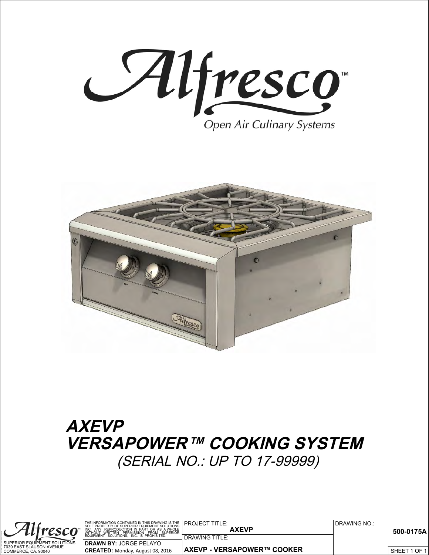



## **AXEVP VERSAPOWER™ COOKING SYSTEM** (SERIAL NO.: UP TO 17-99999)

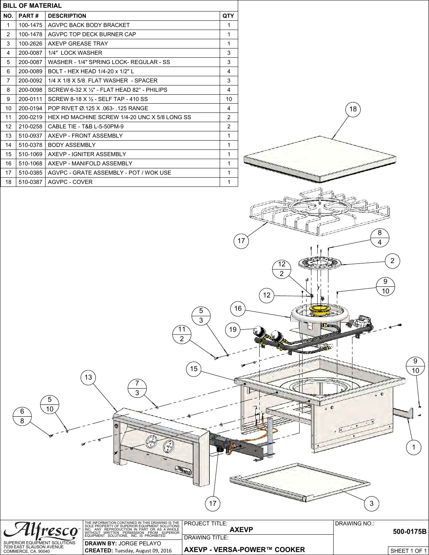| <b>BILL OF MATERIAL</b> |          |                                                      |            |
|-------------------------|----------|------------------------------------------------------|------------|
| NO.                     | PART#    | <b>DESCRIPTION</b>                                   | <b>QTY</b> |
| $\mathbf{1}$            | 100-1475 | AGVPC BACK BODY BRACKET                              | 1          |
| 2                       | 100-1478 | AGVPC TOP DECK BURNER CAP                            | 1          |
| 3                       | 100-2626 | AXEVP GREASE TRAY                                    | 1          |
| 4                       | 200-0087 | 1/4" LOCK WASHER                                     | 3          |
| 5                       | 200-0087 | WASHER - 1/4" SPRING LOCK- REGULAR - SS              | 3          |
| 6                       | 200-0089 | BOLT - HEX HEAD 1/4-20 x 1/2" L                      | 4          |
| 7                       | 200-0092 | 1/4 X 1/8 X 5/8 FLAT WASHER - SPACER                 | 3          |
| 8                       | 200-0098 | SCREW 6-32 X $\frac{1}{2}$ - FLAT HEAD 82° - PHILIPS | 4          |
| 9                       | 200-0111 | SCREW 8-18 X 1/2 - SELF TAP - 410 SS                 | 10         |
| 10                      | 200-0194 | POP RIVET Ø 125 X 063- 125 RANGE                     | 4          |
| 11                      | 200-0219 | HEX HD MACHINE SCREW 1/4-20 UNC X 5/8 LONG SS        | 2          |
| 12 <sup>2</sup>         | 210-0258 | CABLE TIE - T&B L-5-50PM-9                           | 2          |
| 13                      | 510-0937 | AXEVP - FRONT ASSEMBLY                               | 1          |
| 14                      | 510-0378 | <b>BODY ASSEMBLY</b>                                 | 1          |
| 15                      | 510-1069 | AXEVP - IGNITER ASSEMBLY                             | 1          |
| 16                      | 510-1068 | AXEVP - MANIFOLD ASSEMBLY                            | 1          |
| 17                      | 510-0385 | AGVPC - GRATE ASSEMBLY - POT / WOK USE               | 1          |
| 18                      | 510-0387 | AGVPC - COVER                                        | 1          |



 

**READED** 

 $\widehat{15}$ 

 

 

 $\widehat{6}$   $\backslash$  10

 $\frac{\widehat{6}}{8}$ 

 

 $\overline{17}$  (3)

 

 

 $\overline{9}$ 

O

 $\bullet$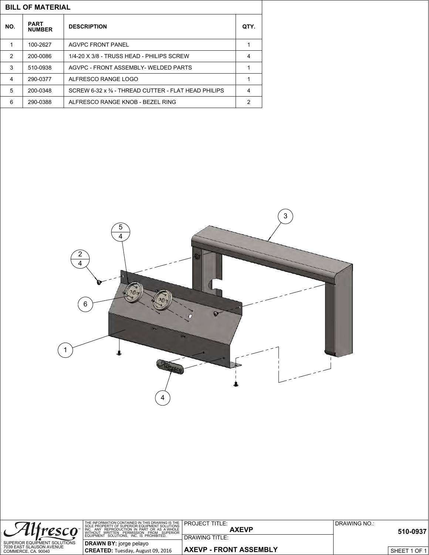| <b>BILL OF MATERIAL</b> |                              |                                                    |   |  |  |
|-------------------------|------------------------------|----------------------------------------------------|---|--|--|
| NO.                     | <b>PART</b><br><b>NUMBER</b> | <b>DESCRIPTION</b>                                 |   |  |  |
|                         | 100-2627                     | AGVPC FRONT PANEL                                  | 1 |  |  |
| $\mathcal{P}$           | 200-0086                     | 1/4-20 X 3/8 - TRUSS HEAD - PHILIPS SCREW          | 4 |  |  |
| 3                       | 510-0938                     | AGVPC - FRONT ASSEMBLY- WELDED PARTS               | 1 |  |  |
| 4                       | 290-0377                     | ALFRESCO RANGE LOGO                                | 1 |  |  |
| 5                       | 200-0348                     | SCREW 6-32 x % - THREAD CUTTER - FLAT HEAD PHILIPS | 4 |  |  |
| 6                       | 290-0388                     | ALFRESCO RANGE KNOB - BEZEL RING                   | 2 |  |  |



| Alfresco                                        | THE INFORMATION CONTAINED IN THIS DRAWING IS THE <b>PROJECT TITLE:</b><br>INC. ANY REPRODUCTION IN PART OR AS A WHOLE NUTHOUT WRITTEN PERMISSION FROM SUPERIOR | <b>AXEVP</b>                  | DRAWING NO.:<br>510-0937 |
|-------------------------------------------------|----------------------------------------------------------------------------------------------------------------------------------------------------------------|-------------------------------|--------------------------|
|                                                 | EQUIPMENT SOLUTIONS. INC. IS PROHIBITED.                                                                                                                       | DRAWING TITLE:                |                          |
| SUPERIOR EQUIPMENT SOLUTIONS                    | DRAWN BY: jorge pelayo                                                                                                                                         |                               |                          |
| 7039 EAST SLAUSON AVENUE<br>COMMERCE, CA. 90040 | CREATED: Tuesday, August 09, 2016                                                                                                                              | <b>AXEVP - FRONT ASSEMBLY</b> | 1 OF 1<br>SHEET          |

LAST SAVED BY: »» Jorge «« Tuesday, August 09, 2016 2:30:09 PM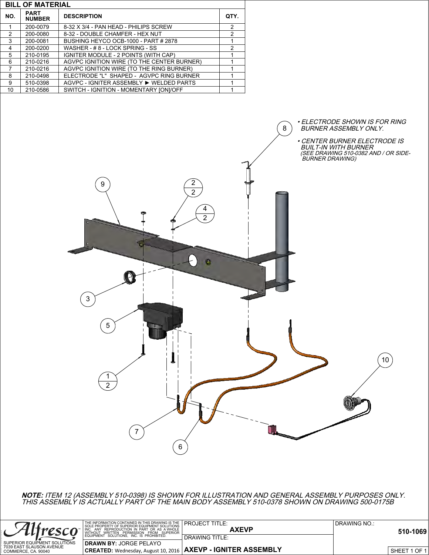|               | <b>BILL OF MATERIAL</b>      |                                            |                |  |
|---------------|------------------------------|--------------------------------------------|----------------|--|
| NO.           | <b>PART</b><br><b>NUMBER</b> | <b>DESCRIPTION</b>                         |                |  |
|               | 200-0079                     | 8-32 X 3/4 - PAN HEAD - PHILIPS SCREW      | 2              |  |
| $\mathcal{P}$ | 200-0080                     | 8-32 - DOUBLE CHAMFER - HEX NUT            | $\overline{2}$ |  |
| 3             | 200-0081                     | BUSHING HEYCO OCB-1000 - PART # 2878       |                |  |
| 4             | 200-0200                     | WASHER - #8 - LOCK SPRING - SS             | $\mathcal{P}$  |  |
| 5             | 210-0195                     | IGNITER MODULE - 2 POINTS (WITH CAP)       |                |  |
| 6             | 210-0216                     | AGVPC IGNITION WIRE (TO THE CENTER BURNER) |                |  |
| 7             | 210-0216                     | AGVPC IGNITION WIRE (TO THE RING BURNER)   |                |  |
| 8             | 210-0498                     | ELECTRODE "L" SHAPED - AGVPC RING BURNER   |                |  |
| 9             | 510-0398                     | AGVPC - IGNITER ASSEMBLY ▶ WELDED PARTS    |                |  |
| 10            | 210-0586                     | SWITCH - IGNITION - MOMENTARY [ON]/OFF     |                |  |



**NOTE:** ITEM 12 (ASSEMBLY 510-0398) IS SHOWN FOR ILLUSTRATION AND GENERAL ASSEMBLY PURPOSES ONLY. THIS ASSEMBLY IS ACTUALLY PART OF THE MAIN BODY ASSEMBLY 510-0378 SHOWN ON DRAWING 500-0175B

|                                                 | THE INFORMATION CONTAINED IN THIS DRAWING IS THE <b>PROJECT TITLE:</b> SOLE PROPERTY OF SUPERIOR EQUIPMENT SOLUTIONS<br>INC. ANY REPRODUCTION IN PART OR AS A WHOLE WITHOUT WRITTEN PERMISSION FROM SUPERIOR | <b>AXEVP</b>                                                                | DRAWING NO.:<br>510-1069 |
|-------------------------------------------------|--------------------------------------------------------------------------------------------------------------------------------------------------------------------------------------------------------------|-----------------------------------------------------------------------------|--------------------------|
|                                                 | EQUIPMENT SOLUTIONS. INC. IS PROHIBITED.                                                                                                                                                                     | <b>DRAWING TITLE:</b>                                                       |                          |
| SUPERIOR EQUIPMENT SOLUTIONS                    | <b>DRAWN BY: JORGE PELAYO</b>                                                                                                                                                                                |                                                                             |                          |
| 7039 EAST SLAUSON AVENUE<br>COMMERCE. CA. 90040 |                                                                                                                                                                                                              | <sup>1</sup> CREATED: Wednesday, August 10, 2016   AXEVP - IGNITER ASSEMBLY | 1 OF 1<br><b>SHEET</b>   |

LAST SAVED BY: »» Jorge «« Wednesday, August 10, 2016 10:19:49 AM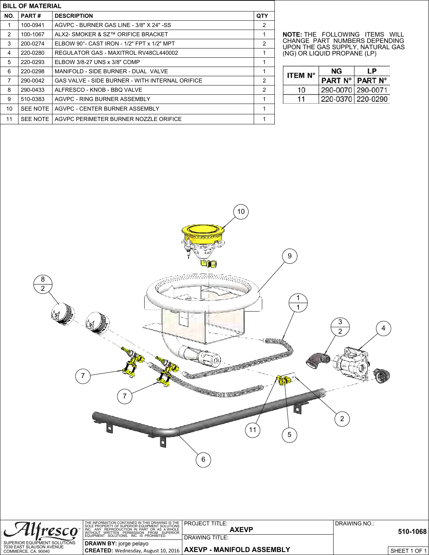| <b>BILL OF MATERIAL</b> |                 |                                                        |     |
|-------------------------|-----------------|--------------------------------------------------------|-----|
| NO.                     | <b>PART#</b>    | <b>DESCRIPTION</b>                                     | QTY |
| 1                       | 100-0941        | AGVPC - BURNER GAS LINE - 3/8" X 24" -SS               | 2   |
| 2                       | 100-1067        | ALX2- SMOKER & SZ™ ORIFICE BRACKET                     | 1   |
| 3                       | 200-0274        | ELBOW 90°- CAST IRON - 1/2" FPT x 1/2" MPT             | 2   |
| 4                       | 220-0280        | REGULATOR GAS - MAXITROL RV48CL440002                  | 1   |
| 5                       | 220-0293        | ELBOW 3/8-27 UNS x 3/8" COMP                           | 1   |
| 6                       | 220-0298        | MANIFOLD - SIDE BURNER - DUAL VALVE                    | 1   |
| 7                       | 290-0042        | <b>GAS VALVE - SIDE BURNER - WITH INTERNAL ORIFICE</b> | 2   |
| 8                       | 290-0433        | ALFRESCO - KNOB - BBQ VALVE                            | 2   |
| 9                       | 510-0383        | AGVPC - RING BURNER ASSEMBLY                           | 1   |
| 10                      | <b>SEE NOTE</b> | AGVPC - CENTER BURNER ASSEMBLY                         | 1   |
| 11                      | SEE NOTE        | AGVPC PERIMETER BURNER NOZZLE ORIFICE                  | 1   |

**NOTE:** THE FOLLOWING ITEMS WILL CHANGE PART NUMBERS DEPENDING UPON THE GAS SUPPLY, NATURAL GAS (NG) OR LIQUID PROPANE (LP)

| <b>ITEM N°</b> | NG                | ΙP             |
|----------------|-------------------|----------------|
|                | <b>PART N°</b>    | <b>PART N°</b> |
| 10             | 290-0070 290-0071 |                |
| 11             | 220-0370 220-0290 |                |



|                                                 | THE INFORMATION CONTAINED IN THIS DRAWING IS THE<br>I SOLE PROPERTY OF SUPERIOR EQUIPMENT SOLUTIONS<br>INC. ANY REPRODUCTION IN PART OR AS A WHOLE  <br>WITHOUT WRITTEN PERMISSION FROM SUPERIOR | I PROJECT TITLE:<br><b>AXEVP</b>                                  | DRAWING NO.: | 510-1068     |
|-------------------------------------------------|--------------------------------------------------------------------------------------------------------------------------------------------------------------------------------------------------|-------------------------------------------------------------------|--------------|--------------|
|                                                 | EQUIPMENT SOLUTIONS. INC. IS PROHIBITED.                                                                                                                                                         | DRAWING TITLE:                                                    |              |              |
| SUPERIOR EQUIPMENT SOLUTIONS                    | DRAWN BY: jorge pelayo                                                                                                                                                                           |                                                                   |              |              |
| 7039 EAST SLAUSON AVENUE<br>COMMERCE, CA. 90040 |                                                                                                                                                                                                  | I CREATED: Wednesday, August 10, 2016   AXEVP - MANIFOLD ASSEMBLY |              | SHEET 1 OF 1 |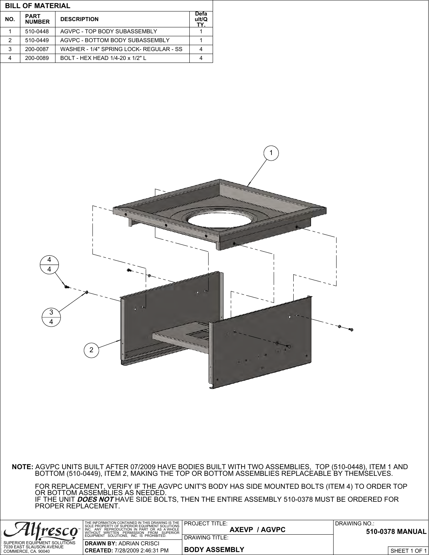| <b>BILL OF MATERIAL</b> |                                                    |                                         |                      |  |
|-------------------------|----------------------------------------------------|-----------------------------------------|----------------------|--|
| NO.                     | <b>PART</b><br><b>DESCRIPTION</b><br><b>NUMBER</b> |                                         | Defa<br>ult/Q<br>TY. |  |
|                         | 510-0448                                           | AGVPC - TOP BODY SUBASSEMBLY            |                      |  |
| 2                       | 510-0449                                           | AGVPC - BOTTOM BODY SUBASSEMBLY         |                      |  |
| 3                       | 200-0087                                           | WASHER - 1/4" SPRING LOCK- REGULAR - SS |                      |  |
| 4                       | 200-0089                                           | BOLT - HEX HEAD 1/4-20 x 1/2" L         |                      |  |

LAST SAVED BY: »» Jorge «« Wednesday, August 10, 2016 9:06:10 AM



**NOTE:** AGVPC UNITS BUILT AFTER 07/2009 HAVE BODIES BUILT WITH TWO ASSEMBLIES, TOP (510-0448), ITEM 1 AND BOTTOM (510-0449), ITEM 2, MAKING THE TOP OR BOTTOM ASSEMBLIES REPLACEABLE BY THEMSELVES.

 FOR REPLACEMENT, VERIFY IF THE AGVPC UNIT'S BODY HAS SIDE MOUNTED BOLTS (ITEM 4) TO ORDER TOP OR BOTTOM ASSEMBLIES AS NEEDED. IF THE UNIT **DOES NOT** HAVE SIDE BOLTS, THEN THE ENTIRE ASSEMBLY 510-0378 MUST BE ORDERED FOR PROPER REPLACEMENT.

|                                                 | I THE INFORMATION CONTAINED IN THIS DRAWING IS THE PROJECT TITLE.<br>SOLE PROPERTY OF SUPERIOR EQUIPMENT SOLUTIONS<br>' REPRODUCTION IN PART OR AS A WHOLE I<br>INC. ANY REPRODUCTION IN PART OR AS AWHOLE<br>WITHOUT WRITTEN PERMISSION FROM SUPERIOR | <b>AXEVP / AGVPC</b> | DRAWING NO.:<br>510-0378 MANUAL |
|-------------------------------------------------|--------------------------------------------------------------------------------------------------------------------------------------------------------------------------------------------------------------------------------------------------------|----------------------|---------------------------------|
|                                                 | EQUIPMENT SOLUTIONS. INC. IS PROHIBITED.                                                                                                                                                                                                               | DRAWING TITLE:       |                                 |
| SUPERIOR EQUIPMENT SOLUTIONS                    | <b>DRAWN BY:</b> ADRIAN CRISCI                                                                                                                                                                                                                         |                      |                                 |
| 7039 EAST SLAUSON AVENUE<br>COMMERCE, CA. 90040 | CREATED: 7/28/2009 2:46:31 PM                                                                                                                                                                                                                          | ∣BODY ASSEMBLY       | . . 1 OF 1<br><b>SHEET</b>      |